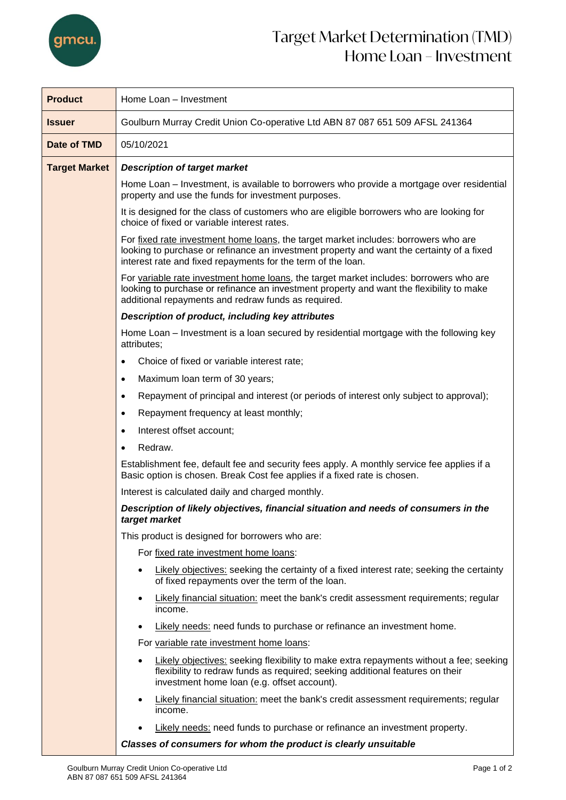

| <b>Product</b>       | Home Loan - Investment                                                                                                                                                                                                                                                                                                               |  |  |
|----------------------|--------------------------------------------------------------------------------------------------------------------------------------------------------------------------------------------------------------------------------------------------------------------------------------------------------------------------------------|--|--|
| <b>Issuer</b>        | Goulburn Murray Credit Union Co-operative Ltd ABN 87 087 651 509 AFSL 241364                                                                                                                                                                                                                                                         |  |  |
| Date of TMD          | 05/10/2021                                                                                                                                                                                                                                                                                                                           |  |  |
| <b>Target Market</b> | <b>Description of target market</b>                                                                                                                                                                                                                                                                                                  |  |  |
|                      | Home Loan – Investment, is available to borrowers who provide a mortgage over residential<br>property and use the funds for investment purposes.                                                                                                                                                                                     |  |  |
|                      | It is designed for the class of customers who are eligible borrowers who are looking for<br>choice of fixed or variable interest rates.                                                                                                                                                                                              |  |  |
|                      | For fixed rate investment home loans, the target market includes: borrowers who are<br>looking to purchase or refinance an investment property and want the certainty of a fixed<br>interest rate and fixed repayments for the term of the loan.                                                                                     |  |  |
|                      | For variable rate investment home loans, the target market includes: borrowers who are<br>looking to purchase or refinance an investment property and want the flexibility to make<br>additional repayments and redraw funds as required.                                                                                            |  |  |
|                      | Description of product, including key attributes                                                                                                                                                                                                                                                                                     |  |  |
|                      | Home Loan – Investment is a loan secured by residential mortgage with the following key<br>attributes;                                                                                                                                                                                                                               |  |  |
|                      | Choice of fixed or variable interest rate;                                                                                                                                                                                                                                                                                           |  |  |
|                      | Maximum loan term of 30 years;<br>$\bullet$                                                                                                                                                                                                                                                                                          |  |  |
|                      | Repayment of principal and interest (or periods of interest only subject to approval);<br>$\bullet$                                                                                                                                                                                                                                  |  |  |
|                      | Repayment frequency at least monthly;<br>٠                                                                                                                                                                                                                                                                                           |  |  |
|                      | Interest offset account;<br>$\bullet$                                                                                                                                                                                                                                                                                                |  |  |
|                      | Redraw.<br>$\bullet$                                                                                                                                                                                                                                                                                                                 |  |  |
|                      | Establishment fee, default fee and security fees apply. A monthly service fee applies if a<br>Basic option is chosen. Break Cost fee applies if a fixed rate is chosen.<br>Interest is calculated daily and charged monthly.<br>Description of likely objectives, financial situation and needs of consumers in the<br>target market |  |  |
|                      |                                                                                                                                                                                                                                                                                                                                      |  |  |
|                      |                                                                                                                                                                                                                                                                                                                                      |  |  |
|                      | This product is designed for borrowers who are:                                                                                                                                                                                                                                                                                      |  |  |
|                      | For fixed rate investment home loans:                                                                                                                                                                                                                                                                                                |  |  |
|                      | Likely objectives: seeking the certainty of a fixed interest rate; seeking the certainty<br>of fixed repayments over the term of the loan.                                                                                                                                                                                           |  |  |
|                      | <b>Likely financial situation:</b> meet the bank's credit assessment requirements; regular<br>$\bullet$<br>income.                                                                                                                                                                                                                   |  |  |
|                      | Likely needs: need funds to purchase or refinance an investment home.                                                                                                                                                                                                                                                                |  |  |
|                      | For variable rate investment home loans:                                                                                                                                                                                                                                                                                             |  |  |
|                      | Likely objectives: seeking flexibility to make extra repayments without a fee; seeking<br>flexibility to redraw funds as required; seeking additional features on their<br>investment home loan (e.g. offset account).                                                                                                               |  |  |
|                      | Likely financial situation: meet the bank's credit assessment requirements; regular<br>$\bullet$<br>income.                                                                                                                                                                                                                          |  |  |
|                      | Likely needs: need funds to purchase or refinance an investment property.                                                                                                                                                                                                                                                            |  |  |
|                      | Classes of consumers for whom the product is clearly unsuitable                                                                                                                                                                                                                                                                      |  |  |